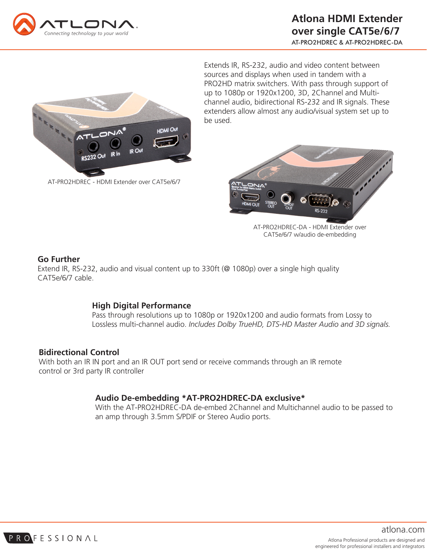



AT-PRO2HDREC - HDMI Extender over CAT5e/6/7

Extends IR, RS-232, audio and video content between sources and displays when used in tandem with a PRO2HD matrix switchers. With pass through support of up to 1080p or 1920x1200, 3D, 2Channel and Multichannel audio, bidirectional RS-232 and IR signals. These extenders allow almost any audio/visual system set up to be used.



AT-PRO2HDREC-DA - HDMI Extender over CAT5e/6/7 w/audio de-embedding

### **Go Further**

Extend IR, RS-232, audio and visual content up to 330ft (@ 1080p) over a single high quality CAT5e/6/7 cable.

# **High Digital Performance**

Pass through resolutions up to 1080p or 1920x1200 and audio formats from Lossy to Lossless multi-channel audio. *Includes Dolby TrueHD, DTS-HD Master Audio and 3D signals.*

# **Bidirectional Control**

With both an IR IN port and an IR OUT port send or receive commands through an IR remote control or 3rd party IR controller

# **Audio De-embedding \*AT-PRO2HDREC-DA exclusive\***

With the AT-PRO2HDREC-DA de-embed 2Channel and Multichannel audio to be passed to an amp through 3.5mm S/PDIF or Stereo Audio ports.